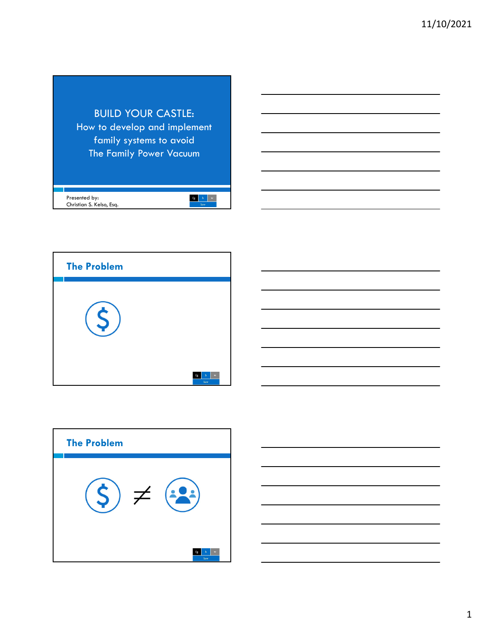





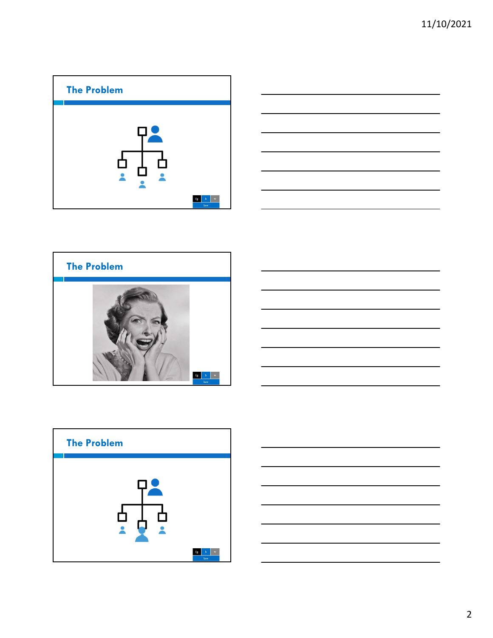









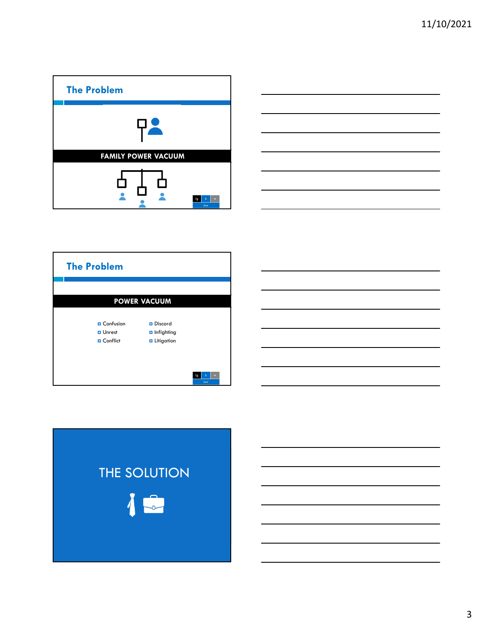





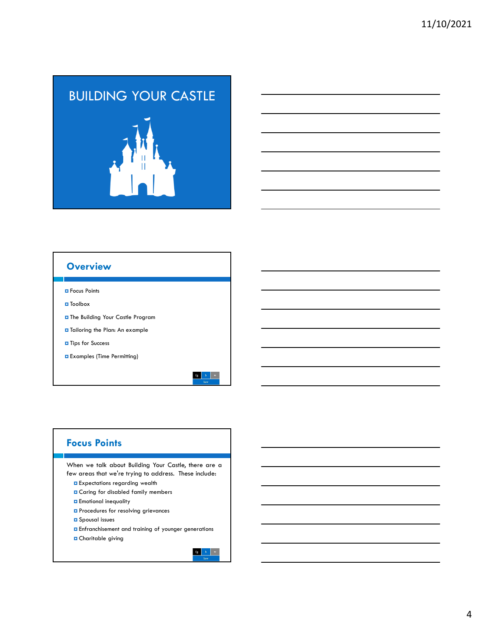# BUILDING YOUR CASTLE

### **Overview**

**O** Focus Points

- Toolbox
- The Building Your Castle Program
- $\Box$  Tailoring the Plan: An example
- **D** Tips for Success
- Examples (Time Permitting)



### **Focus Points**

When we talk about Building Your Castle, there are a few areas that we're trying to address. These include:

- **Expectations regarding wealth**
- Caring for disabled family members
- **E** Emotional inequality
- **P** Procedures for resolving grievances
- **O** Spousal issues
- **E**nfranchisement and training of younger generations
- Charitable giving

 $\begin{array}{|c|c|c|c|c|} \hline \textbf{fg} & \textbf{h} & \textbf{w} \end{array}$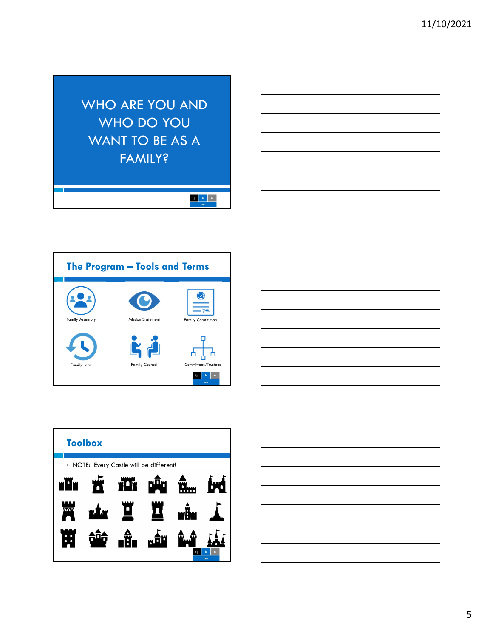WHO ARE YOU AND WHO DO YOU WANT TO BE AS A **FAMILY?** 

 $\begin{tabular}{|c|c|c|c|} \hline & $f g$ & $h$ & $w$ \\ \hline & & law & \\ \hline \end{tabular}$ 







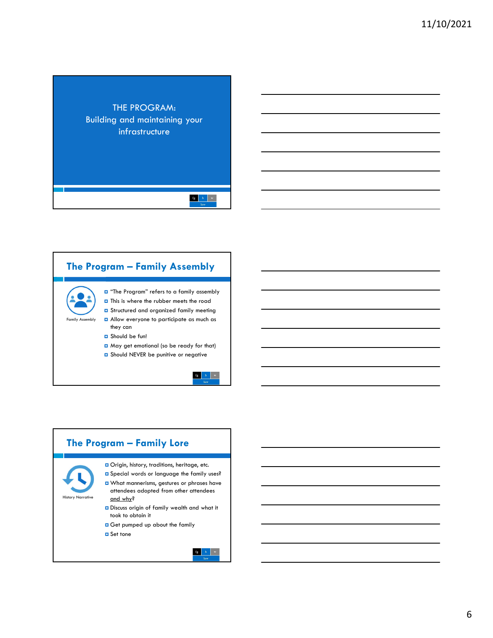### THE PROGRAM: Building and maintaining your infrastructure

### **The Program – Family Assembly**

Family Assembly  $\Box$  "The Program" refers to a family assembly  $\Box$  This is where the rubber meets the road **D** Structured and organized family meeting

- **D** Allow everyone to participate as much as they can
- **D** Should be fun!
- May get emotional (so be ready for that)
- **D** Should NEVER be punitive or negative

 $\mathbf{fg} = \left\| \mathbf{h} \right\| = \mathbf{w}$ 

### **The Program – Family Lore** Origin, history, traditions, heritage, etc. Special words or language the family uses? What mannerisms, gestures or phrases have attendees adopted from other attendees History Narrative and why? Discuss origin of family wealth and what it took to obtain it Get pumped up about the family **□** Set tone  $\begin{array}{|c|c|c|c|}\hline \textbf{fg} & \textbf{h} & \textbf{w} \\\hline \end{array}$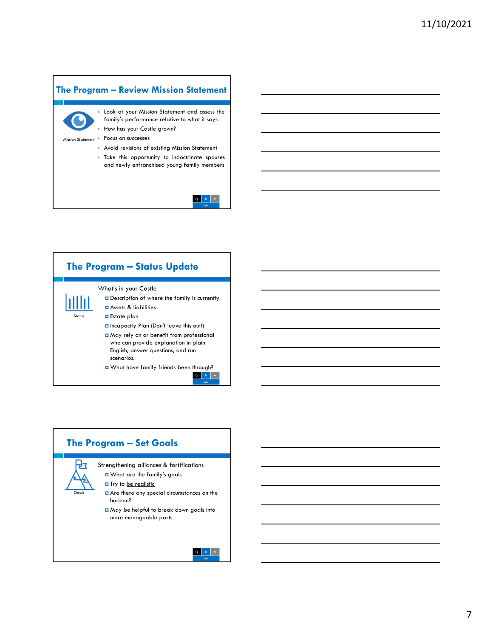

### $\mathbf{fg} = \left\| \mathbf{h} \right\| \left\| \left\| \mathbf{w} \right\| \right\|$

### **The Program – Status Update**



Status

| | | | | |

Description of where the family is currently Assets & liabilities **Estate plan**  Incapacity Plan (Don't leave this out!) May rely on or benefit from professional who can provide explanation in plain English, answer questions, and run scenarios. **Q** What have family friends been through?

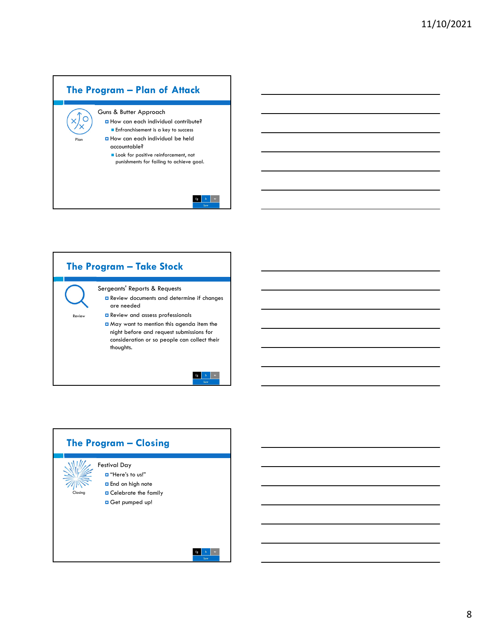



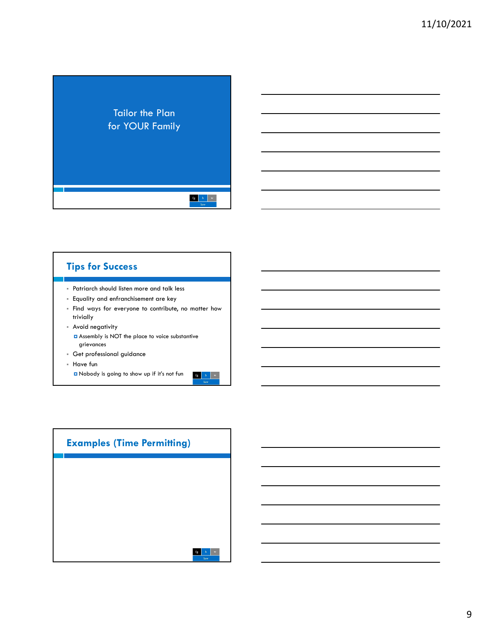### Tailor the Plan for YOUR Family

 $\begin{tabular}{|c|c|c|c|} \hline & $f g$ & $h$ & $w$ \\ \hline & & law & \\ \hline \end{tabular}$ 

 $\mathbf{fg} = \left\| \mathbf{h} \right\| \left\| \left\| \mathbf{w} \right\| \right\|$ 

### **Tips for Success**

- Patriarch should listen more and talk less
- Equality and enfranchisement are key
- Find ways for everyone to contribute, no matter how trivially
- Avoid negativity Assembly is NOT the place to voice substantive grievances
- Get professional guidance
- Have fun
	- Nobody is going to show up if it's not fun

| <b>Examples (Time Permitting)</b> |             |  |  |  |
|-----------------------------------|-------------|--|--|--|
|                                   |             |  |  |  |
|                                   |             |  |  |  |
|                                   |             |  |  |  |
|                                   | w<br>h<br>г |  |  |  |